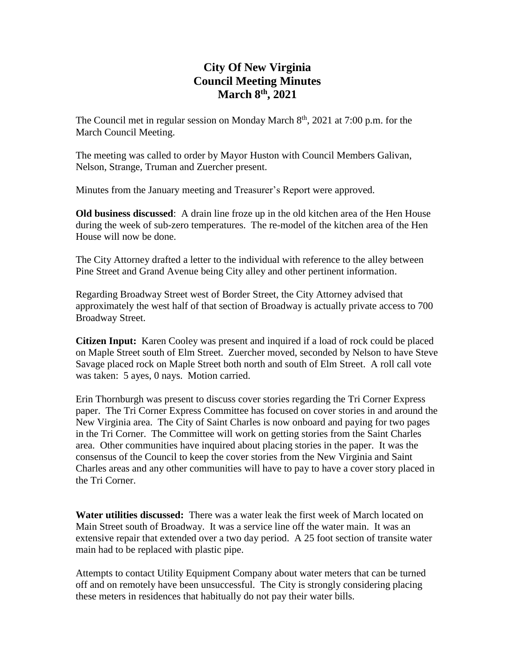# **City Of New Virginia Council Meeting Minutes March 8th , 2021**

The Council met in regular session on Monday March  $8<sup>th</sup>$ , 2021 at 7:00 p.m. for the March Council Meeting.

The meeting was called to order by Mayor Huston with Council Members Galivan, Nelson, Strange, Truman and Zuercher present.

Minutes from the January meeting and Treasurer's Report were approved.

**Old business discussed**: A drain line froze up in the old kitchen area of the Hen House during the week of sub-zero temperatures. The re-model of the kitchen area of the Hen House will now be done.

The City Attorney drafted a letter to the individual with reference to the alley between Pine Street and Grand Avenue being City alley and other pertinent information.

Regarding Broadway Street west of Border Street, the City Attorney advised that approximately the west half of that section of Broadway is actually private access to 700 Broadway Street.

**Citizen Input:** Karen Cooley was present and inquired if a load of rock could be placed on Maple Street south of Elm Street. Zuercher moved, seconded by Nelson to have Steve Savage placed rock on Maple Street both north and south of Elm Street. A roll call vote was taken: 5 ayes, 0 nays. Motion carried.

Erin Thornburgh was present to discuss cover stories regarding the Tri Corner Express paper. The Tri Corner Express Committee has focused on cover stories in and around the New Virginia area. The City of Saint Charles is now onboard and paying for two pages in the Tri Corner. The Committee will work on getting stories from the Saint Charles area. Other communities have inquired about placing stories in the paper. It was the consensus of the Council to keep the cover stories from the New Virginia and Saint Charles areas and any other communities will have to pay to have a cover story placed in the Tri Corner.

**Water utilities discussed:** There was a water leak the first week of March located on Main Street south of Broadway. It was a service line off the water main. It was an extensive repair that extended over a two day period. A 25 foot section of transite water main had to be replaced with plastic pipe.

Attempts to contact Utility Equipment Company about water meters that can be turned off and on remotely have been unsuccessful. The City is strongly considering placing these meters in residences that habitually do not pay their water bills.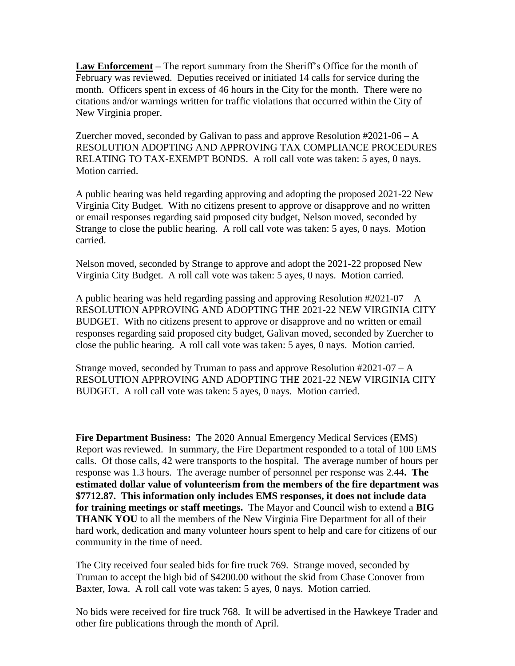**Law Enforcement –** The report summary from the Sheriff's Office for the month of February was reviewed. Deputies received or initiated 14 calls for service during the month. Officers spent in excess of 46 hours in the City for the month. There were no citations and/or warnings written for traffic violations that occurred within the City of New Virginia proper.

Zuercher moved, seconded by Galivan to pass and approve Resolution  $\text{\#2021-06}-A$ RESOLUTION ADOPTING AND APPROVING TAX COMPLIANCE PROCEDURES RELATING TO TAX-EXEMPT BONDS. A roll call vote was taken: 5 ayes, 0 nays. Motion carried.

A public hearing was held regarding approving and adopting the proposed 2021-22 New Virginia City Budget. With no citizens present to approve or disapprove and no written or email responses regarding said proposed city budget, Nelson moved, seconded by Strange to close the public hearing. A roll call vote was taken: 5 ayes, 0 nays. Motion carried.

Nelson moved, seconded by Strange to approve and adopt the 2021-22 proposed New Virginia City Budget. A roll call vote was taken: 5 ayes, 0 nays. Motion carried.

A public hearing was held regarding passing and approving Resolution #2021-07 – A RESOLUTION APPROVING AND ADOPTING THE 2021-22 NEW VIRGINIA CITY BUDGET. With no citizens present to approve or disapprove and no written or email responses regarding said proposed city budget, Galivan moved, seconded by Zuercher to close the public hearing. A roll call vote was taken: 5 ayes, 0 nays. Motion carried.

Strange moved, seconded by Truman to pass and approve Resolution #2021-07 – A RESOLUTION APPROVING AND ADOPTING THE 2021-22 NEW VIRGINIA CITY BUDGET. A roll call vote was taken: 5 ayes, 0 nays. Motion carried.

**Fire Department Business:** The 2020 Annual Emergency Medical Services (EMS) Report was reviewed. In summary, the Fire Department responded to a total of 100 EMS calls. Of those calls, 42 were transports to the hospital. The average number of hours per response was 1.3 hours. The average number of personnel per response was 2.44**. The estimated dollar value of volunteerism from the members of the fire department was \$7712.87. This information only includes EMS responses, it does not include data for training meetings or staff meetings.** The Mayor and Council wish to extend a **BIG THANK YOU** to all the members of the New Virginia Fire Department for all of their hard work, dedication and many volunteer hours spent to help and care for citizens of our community in the time of need.

The City received four sealed bids for fire truck 769. Strange moved, seconded by Truman to accept the high bid of \$4200.00 without the skid from Chase Conover from Baxter, Iowa. A roll call vote was taken: 5 ayes, 0 nays. Motion carried.

No bids were received for fire truck 768. It will be advertised in the Hawkeye Trader and other fire publications through the month of April.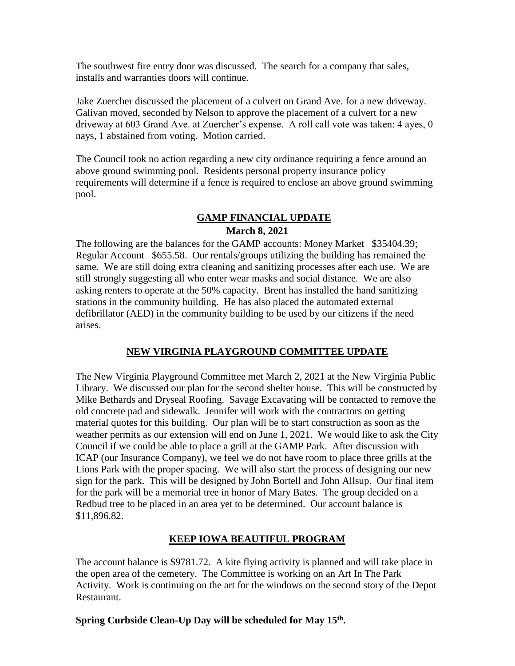The southwest fire entry door was discussed. The search for a company that sales, installs and warranties doors will continue.

Jake Zuercher discussed the placement of a culvert on Grand Ave. for a new driveway. Galivan moved, seconded by Nelson to approve the placement of a culvert for a new driveway at 603 Grand Ave. at Zuercher's expense. A roll call vote was taken: 4 ayes, 0 nays, 1 abstained from voting. Motion carried.

The Council took no action regarding a new city ordinance requiring a fence around an above ground swimming pool. Residents personal property insurance policy requirements will determine if a fence is required to enclose an above ground swimming pool.

## **GAMP FINANCIAL UPDATE**

### **March 8, 2021**

The following are the balances for the GAMP accounts: Money Market \$35404.39; Regular Account \$655.58. Our rentals/groups utilizing the building has remained the same. We are still doing extra cleaning and sanitizing processes after each use. We are still strongly suggesting all who enter wear masks and social distance. We are also asking renters to operate at the 50% capacity. Brent has installed the hand sanitizing stations in the community building. He has also placed the automated external defibrillator (AED) in the community building to be used by our citizens if the need arises.

## **NEW VIRGINIA PLAYGROUND COMMITTEE UPDATE**

The New Virginia Playground Committee met March 2, 2021 at the New Virginia Public Library. We discussed our plan for the second shelter house. This will be constructed by Mike Bethards and Dryseal Roofing. Savage Excavating will be contacted to remove the old concrete pad and sidewalk. Jennifer will work with the contractors on getting material quotes for this building. Our plan will be to start construction as soon as the weather permits as our extension will end on June 1, 2021. We would like to ask the City Council if we could be able to place a grill at the GAMP Park. After discussion with ICAP (our Insurance Company), we feel we do not have room to place three grills at the Lions Park with the proper spacing. We will also start the process of designing our new sign for the park. This will be designed by John Bortell and John Allsup. Our final item for the park will be a memorial tree in honor of Mary Bates. The group decided on a Redbud tree to be placed in an area yet to be determined. Our account balance is \$11,896.82.

### **KEEP IOWA BEAUTIFUL PROGRAM**

The account balance is \$9781.72. A kite flying activity is planned and will take place in the open area of the cemetery. The Committee is working on an Art In The Park Activity. Work is continuing on the art for the windows on the second story of the Depot Restaurant.

### **Spring Curbside Clean-Up Day will be scheduled for May 15th .**